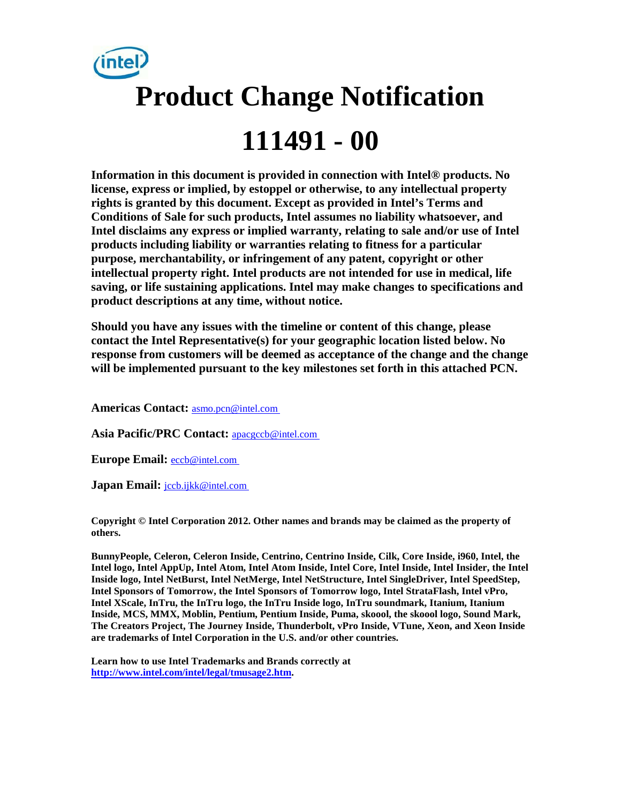

**Information in this document is provided in connection with Intel® products. No license, express or implied, by estoppel or otherwise, to any intellectual property rights is granted by this document. Except as provided in Intel's Terms and Conditions of Sale for such products, Intel assumes no liability whatsoever, and Intel disclaims any express or implied warranty, relating to sale and/or use of Intel products including liability or warranties relating to fitness for a particular purpose, merchantability, or infringement of any patent, copyright or other intellectual property right. Intel products are not intended for use in medical, life saving, or life sustaining applications. Intel may make changes to specifications and product descriptions at any time, without notice.** 

**Should you have any issues with the timeline or content of this change, please contact the Intel Representative(s) for your geographic location listed below. No response from customers will be deemed as acceptance of the change and the change will be implemented pursuant to the key milestones set forth in this attached PCN.** 

**Americas Contact:** [asmo.pcn@intel.com](mailto:asmo.pcn@intel.com) 

**Asia Pacific/PRC Contact:** [apacgccb@intel.com](mailto:apacgccb@intel.com) 

**Europe Email:** [eccb@intel.com](mailto:eccb@intel.com) 

Japan Email: **jccb.ijkk@intel.com** 

**Copyright © Intel Corporation 2012. Other names and brands may be claimed as the property of others.**

**BunnyPeople, Celeron, Celeron Inside, Centrino, Centrino Inside, Cilk, Core Inside, i960, Intel, the Intel logo, Intel AppUp, Intel Atom, Intel Atom Inside, Intel Core, Intel Inside, Intel Insider, the Intel Inside logo, Intel NetBurst, Intel NetMerge, Intel NetStructure, Intel SingleDriver, Intel SpeedStep, Intel Sponsors of Tomorrow, the Intel Sponsors of Tomorrow logo, Intel StrataFlash, Intel vPro, Intel XScale, InTru, the InTru logo, the InTru Inside logo, InTru soundmark, Itanium, Itanium Inside, MCS, MMX, Moblin, Pentium, Pentium Inside, Puma, skoool, the skoool logo, Sound Mark, The Creators Project, The Journey Inside, Thunderbolt, vPro Inside, VTune, Xeon, and Xeon Inside are trademarks of Intel Corporation in the U.S. and/or other countries.**

**Learn how to use Intel Trademarks and Brands correctly at [http://www.intel.com/intel/legal/tmusage2.htm.](http://www.intel.com/intel/legal/tmusage2.htm)**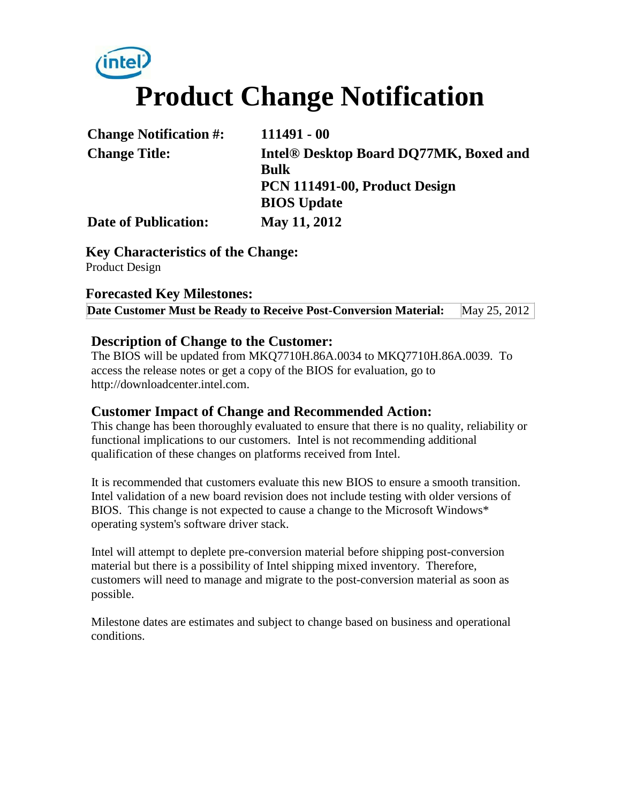# **intel Product Change Notification**

| <b>Change Notification #:</b> | $111491 - 00$                                      |
|-------------------------------|----------------------------------------------------|
| <b>Change Title:</b>          | Intel <sup>®</sup> Desktop Board DQ77MK, Boxed and |
|                               | <b>Bulk</b>                                        |
|                               | PCN 111491-00, Product Design                      |
|                               | <b>BIOS</b> Update                                 |
| <b>Date of Publication:</b>   | May 11, 2012                                       |

**Key Characteristics of the Change:** Product Design

### **Forecasted Key Milestones:**

**Date Customer Must be Ready to Receive Post-Conversion Material:** May 25, 2012

#### **Description of Change to the Customer:**

The BIOS will be updated from MKQ7710H.86A.0034 to MKQ7710H.86A.0039. To access the release notes or get a copy of the BIOS for evaluation, go to http://downloadcenter.intel.com.

## **Customer Impact of Change and Recommended Action:**

This change has been thoroughly evaluated to ensure that there is no quality, reliability or functional implications to our customers. Intel is not recommending additional qualification of these changes on platforms received from Intel.

It is recommended that customers evaluate this new BIOS to ensure a smooth transition. Intel validation of a new board revision does not include testing with older versions of BIOS. This change is not expected to cause a change to the Microsoft Windows\* operating system's software driver stack.

Intel will attempt to deplete pre-conversion material before shipping post-conversion material but there is a possibility of Intel shipping mixed inventory. Therefore, customers will need to manage and migrate to the post-conversion material as soon as possible.

Milestone dates are estimates and subject to change based on business and operational conditions.